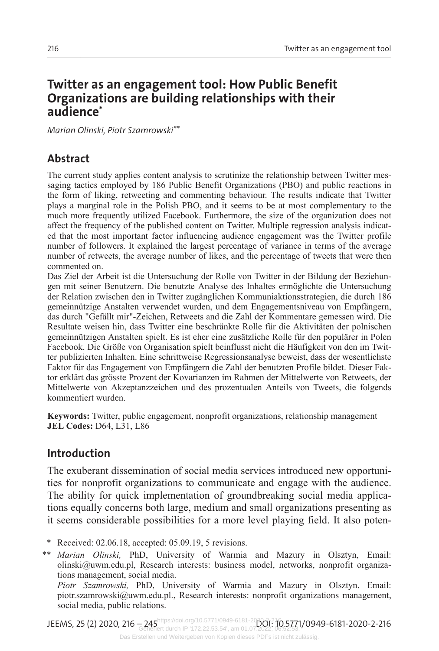# **Twitter as an engagement tool: How Public Benefit Organizations are building relationships with their audience\***

*Marian Olinski, Piotr Szamrowski\*\**

# **Abstract**

The current study applies content analysis to scrutinize the relationship between Twitter mes saging tactics employed by 186 Public Benefit Organizations (PBO) and public reactions in the form of liking, retweeting and commenting behaviour. The results indicate that Twitter plays a marginal role in the Polish PBO, and it seems to be at most complementary to the much more frequently utilized Facebook. Furthermore, the size of the organization does not affect the frequency of the published content on Twitter. Multiple regression analysis indicated that the most important factor influencing audience engagement was the Twitter profile number of followers. It explained the largest percentage of variance in terms of the average number of retweets, the average number of likes, and the percentage of tweets that were then commented on.

Das Ziel der Arbeit ist die Untersuchung der Rolle von Twitter in der Bildung der Beziehungen mit seiner Benutzern. Die benutzte Analyse des Inhaltes ermöglichte die Untersuchung der Relation zwischen den in Twitter zugänglichen Kommuniaktionsstrategien, die durch 186 gemeinnützige Anstalten verwendet wurden, und dem Engagementsniveau von Empfängern, das durch "Gefällt mir"-Zeichen, Retweets and die Zahl der Kommentare gemessen wird. Die Resultate weisen hin, dass Twitter eine beschränkte Rolle für die Aktivitäten der polnischen gemeinnützigen Anstalten spielt. Es ist eher eine zusätzliche Rolle für den populärer in Polen Facebook. Die Größe von Organisation spielt beinflusst nicht die Häufigkeit von den im Twit‐ ter publizierten Inhalten. Eine schrittweise Regressionsanalyse beweist, dass der wesentlichste Faktor für das Engagement von Empfängern die Zahl der benutzten Profile bildet. Dieser Fak‐ tor erklärt das grösste Prozent der Kovarianzen im Rahmen der Mittelwerte von Retweets, der Mittelwerte von Akzeptanzzeichen und des prozentualen Anteils von Tweets, die folgends kommentiert wurden.

**Keywords:** Twitter, public engagement, nonprofit organizations, relationship management **JEL Codes:** D64, L31, L86

# **Introduction**

The exuberant dissemination of social media services introduced new opportunities for nonprofit organizations to communicate and engage with the audience. The ability for quick implementation of groundbreaking social media applications equally concerns both large, medium and small organizations presenting as it seems considerable possibilities for a more level playing field. It also poten-

\* Received: 02.06.18, accepted: 05.09.19, 5 revisions.

\*\* *Marian Olinski,* PhD, University of Warmia and Mazury in Olsztyn, Email: olinski@uwm.edu.pl, Research interests: business model, networks, nonprofit organiza‐ tions management, social media.

*Piotr Szamrowski,* PhD, University of Warmia and Mazury in Olsztyn. Email: piotr.szamrowski@uwm.edu.pl., Research interests: nonprofit organizations management, social media, public relations.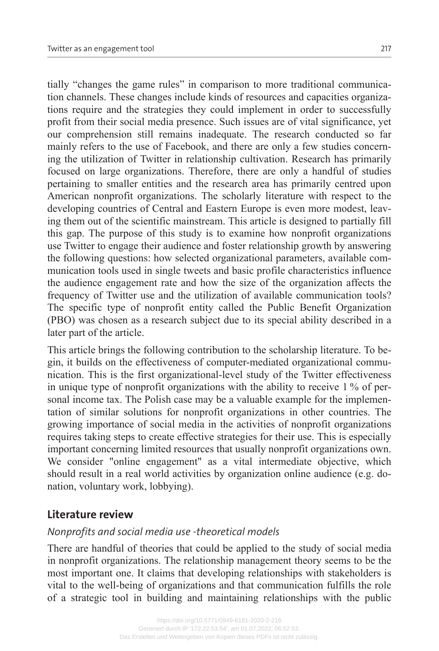tially "changes the game rules" in comparison to more traditional communica‐ tion channels. These changes include kinds of resources and capacities organiza‐ tions require and the strategies they could implement in order to successfully profit from their social media presence. Such issues are of vital significance, yet our comprehension still remains inadequate. The research conducted so far mainly refers to the use of Facebook, and there are only a few studies concerning the utilization of Twitter in relationship cultivation. Research has primarily focused on large organizations. Therefore, there are only a handful of studies pertaining to smaller entities and the research area has primarily centred upon

American nonprofit organizations. The scholarly literature with respect to the developing countries of Central and Eastern Europe is even more modest, leaving them out of the scientific mainstream. This article is designed to partially fill this gap. The purpose of this study is to examine how nonprofit organizations use Twitter to engage their audience and foster relationship growth by answering the following questions: how selected organizational parameters, available communication tools used in single tweets and basic profile characteristics influence the audience engagement rate and how the size of the organization affects the frequency of Twitter use and the utilization of available communication tools? The specific type of nonprofit entity called the Public Benefit Organization (PBO) was chosen as a research subject due to its special ability described in a later part of the article.

This article brings the following contribution to the scholarship literature. To be‐ gin, it builds on the effectiveness of computer-mediated organizational communication. This is the first organizational-level study of the Twitter effectiveness in unique type of nonprofit organizations with the ability to receive 1 % of personal income tax. The Polish case may be a valuable example for the implementation of similar solutions for nonprofit organizations in other countries. The growing importance of social media in the activities of nonprofit organizations requires taking steps to create effective strategies for their use. This is especially important concerning limited resources that usually nonprofit organizations own. We consider "online engagement" as a vital intermediate objective, which should result in a real world activities by organization online audience (e.g. donation, voluntary work, lobbying).

# **Literature review**

# *Nonprofits and social media use -theoretical models*

There are handful of theories that could be applied to the study of social media in nonprofit organizations. The relationship management theory seems to be the most important one. It claims that developing relationships with stakeholders is vital to the well-being of organizations and that communication fulfills the role of a strategic tool in building and maintaining relationships with the public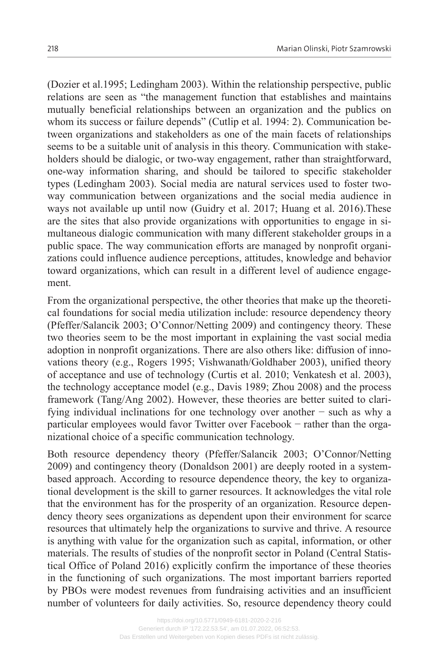(Dozier et al.1995; Ledingham 2003). Within the relationship perspective, public relations are seen as "the management function that establishes and maintains mutually beneficial relationships between an organization and the publics on whom its success or failure depends" (Cutlip et al. 1994: 2). Communication between organizations and stakeholders as one of the main facets of relationships seems to be a suitable unit of analysis in this theory. Communication with stakeholders should be dialogic, or two-way engagement, rather than straightforward, one-way information sharing, and should be tailored to specific stakeholder types (Ledingham 2003). Social media are natural services used to foster twoway communication between organizations and the social media audience in ways not available up until now (Guidry et al. 2017; Huang et al. 2016).These are the sites that also provide organizations with opportunities to engage in simultaneous dialogic communication with many different stakeholder groups in a public space. The way communication efforts are managed by nonprofit organizations could influence audience perceptions, attitudes, knowledge and behavior toward organizations, which can result in a different level of audience engagement.

From the organizational perspective, the other theories that make up the theoretical foundations for social media utilization include: resource dependency theory (Pfeffer/Salancik 2003; O'Connor/Netting 2009) and contingency theory. These two theories seem to be the most important in explaining the vast social media adoption in nonprofit organizations. There are also others like: diffusion of inno‐ vations theory (e.g., Rogers 1995; Vishwanath/Goldhaber 2003), unified theory of acceptance and use of technology (Curtis et al. 2010; Venkatesh et al. 2003), the technology acceptance model (e.g., Davis 1989; Zhou 2008) and the process framework (Tang/Ang 2002). However, these theories are better suited to clarifying individual inclinations for one technology over another − such as why a particular employees would favor Twitter over Facebook – rather than the organizational choice of a specific communication technology.

Both resource dependency theory (Pfeffer/Salancik 2003; O'Connor/Netting 2009) and contingency theory (Donaldson 2001) are deeply rooted in a systembased approach. According to resource dependence theory, the key to organizational development is the skill to garner resources. It acknowledges the vital role that the environment has for the prosperity of an organization. Resource depen‐ dency theory sees organizations as dependent upon their environment for scarce resources that ultimately help the organizations to survive and thrive. A resource is anything with value for the organization such as capital, information, or other materials. The results of studies of the nonprofit sector in Poland (Central Statis‐ tical Office of Poland 2016) explicitly confirm the importance of these theories in the functioning of such organizations. The most important barriers reported by PBOs were modest revenues from fundraising activities and an insufficient number of volunteers for daily activities. So, resource dependency theory could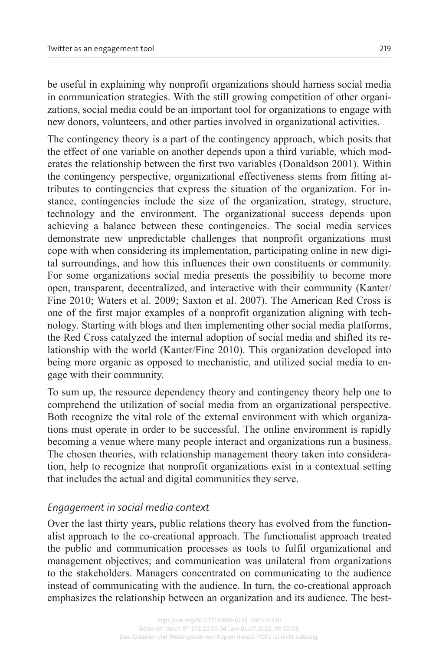be useful in explaining why nonprofit organizations should harness social media in communication strategies. With the still growing competition of other organizations, social media could be an important tool for organizations to engage with new donors, volunteers, and other parties involved in organizational activities.

The contingency theory is a part of the contingency approach, which posits that the effect of one variable on another depends upon a third variable, which moderates the relationship between the first two variables (Donaldson 2001). Within the contingency perspective, organizational effectiveness stems from fitting attributes to contingencies that express the situation of the organization. For in‐ stance, contingencies include the size of the organization, strategy, structure, technology and the environment. The organizational success depends upon achieving a balance between these contingencies. The social media services demonstrate new unpredictable challenges that nonprofit organizations must cope with when considering its implementation, participating online in new digital surroundings, and how this influences their own constituents or community. For some organizations social media presents the possibility to become more open, transparent, decentralized, and interactive with their community (Kanter/ Fine 2010; Waters et al. 2009; Saxton et al. 2007). The American Red Cross is one of the first major examples of a nonprofit organization aligning with technology. Starting with blogs and then implementing other social media platforms, the Red Cross catalyzed the internal adoption of social media and shifted its re‐ lationship with the world (Kanter/Fine 2010). This organization developed into being more organic as opposed to mechanistic, and utilized social media to engage with their community.

To sum up, the resource dependency theory and contingency theory help one to comprehend the utilization of social media from an organizational perspective. Both recognize the vital role of the external environment with which organizations must operate in order to be successful. The online environment is rapidly becoming a venue where many people interact and organizations run a business. The chosen theories, with relationship management theory taken into consideration, help to recognize that nonprofit organizations exist in a contextual setting that includes the actual and digital communities they serve.

#### *Engagement in social media context*

Over the last thirty years, public relations theory has evolved from the functionalist approach to the co-creational approach. The functionalist approach treated the public and communication processes as tools to fulfil organizational and management objectives; and communication was unilateral from organizations to the stakeholders. Managers concentrated on communicating to the audience instead of communicating with the audience. In turn, the co-creational approach emphasizes the relationship between an organization and its audience. The best-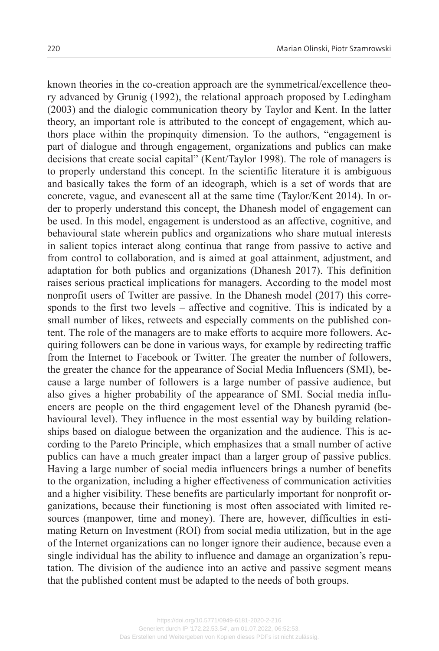known theories in the co-creation approach are the symmetrical/excellence theory advanced by Grunig (1992), the relational approach proposed by Ledingham (2003) and the dialogic communication theory by Taylor and Kent. In the latter theory, an important role is attributed to the concept of engagement, which authors place within the propinquity dimension. To the authors, "engagement is part of dialogue and through engagement, organizations and publics can make decisions that create social capital" (Kent/Taylor 1998). The role of managers is to properly understand this concept. In the scientific literature it is ambiguous and basically takes the form of an ideograph, which is a set of words that are concrete, vague, and evanescent all at the same time (Taylor/Kent 2014). In or‐ der to properly understand this concept, the Dhanesh model of engagement can be used. In this model, engagement is understood as an affective, cognitive, and behavioural state wherein publics and organizations who share mutual interests in salient topics interact along continua that range from passive to active and from control to collaboration, and is aimed at goal attainment, adjustment, and adaptation for both publics and organizations (Dhanesh 2017). This definition raises serious practical implications for managers. According to the model most nonprofit users of Twitter are passive. In the Dhanesh model (2017) this corresponds to the first two levels – affective and cognitive. This is indicated by a small number of likes, retweets and especially comments on the published content. The role of the managers are to make efforts to acquire more followers. Acquiring followers can be done in various ways, for example by redirecting traffic from the Internet to Facebook or Twitter. The greater the number of followers, the greater the chance for the appearance of Social Media Influencers (SMI), because a large number of followers is a large number of passive audience, but also gives a higher probability of the appearance of SMI. Social media influencers are people on the third engagement level of the Dhanesh pyramid (behavioural level). They influence in the most essential way by building relationships based on dialogue between the organization and the audience. This is according to the Pareto Principle, which emphasizes that a small number of active publics can have a much greater impact than a larger group of passive publics. Having a large number of social media influencers brings a number of benefits to the organization, including a higher effectiveness of communication activities and a higher visibility. These benefits are particularly important for nonprofit or‐ ganizations, because their functioning is most often associated with limited re‐ sources (manpower, time and money). There are, however, difficulties in estimating Return on Investment (ROI) from social media utilization, but in the age of the Internet organizations can no longer ignore their audience, because even a single individual has the ability to influence and damage an organization's reputation. The division of the audience into an active and passive segment means that the published content must be adapted to the needs of both groups.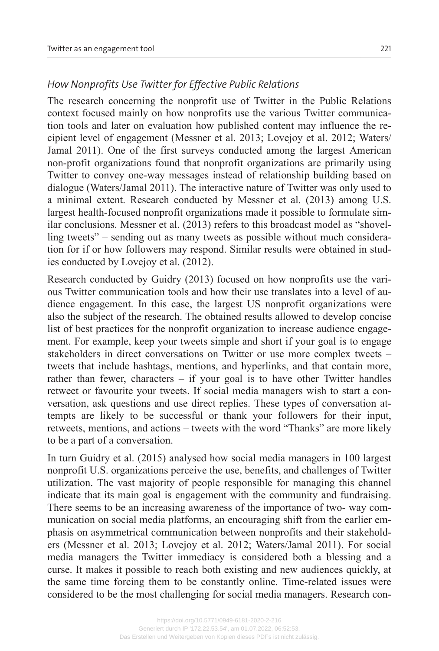### *How Nonprofits Use Twitter for Effective Public Relations*

The research concerning the nonprofit use of Twitter in the Public Relations context focused mainly on how nonprofits use the various Twitter communication tools and later on evaluation how published content may influence the recipient level of engagement (Messner et al. 2013; Lovejoy et al. 2012; Waters/ Jamal 2011). One of the first surveys conducted among the largest American non-profit organizations found that nonprofit organizations are primarily using Twitter to convey one-way messages instead of relationship building based on dialogue (Waters/Jamal 2011). The interactive nature of Twitter was only used to a minimal extent. Research conducted by Messner et al. (2013) among U.S. largest health-focused nonprofit organizations made it possible to formulate similar conclusions. Messner et al. (2013) refers to this broadcast model as "shovelling tweets" – sending out as many tweets as possible without much consideration for if or how followers may respond. Similar results were obtained in stud‐ ies conducted by Lovejoy et al. (2012).

Research conducted by Guidry (2013) focused on how nonprofits use the various Twitter communication tools and how their use translates into a level of audience engagement. In this case, the largest US nonprofit organizations were also the subject of the research. The obtained results allowed to develop concise list of best practices for the nonprofit organization to increase audience engagement. For example, keep your tweets simple and short if your goal is to engage stakeholders in direct conversations on Twitter or use more complex tweets – tweets that include hashtags, mentions, and hyperlinks, and that contain more, rather than fewer, characters  $-$  if your goal is to have other Twitter handles retweet or favourite your tweets. If social media managers wish to start a conversation, ask questions and use direct replies. These types of conversation attempts are likely to be successful or thank your followers for their input, retweets, mentions, and actions – tweets with the word "Thanks" are more likely to be a part of a conversation.

In turn Guidry et al. (2015) analysed how social media managers in 100 largest nonprofit U.S. organizations perceive the use, benefits, and challenges of Twitter utilization. The vast majority of people responsible for managing this channel indicate that its main goal is engagement with the community and fundraising. There seems to be an increasing awareness of the importance of two- way communication on social media platforms, an encouraging shift from the earlier emphasis on asymmetrical communication between nonprofits and their stakehold‐ ers (Messner et al. 2013; Lovejoy et al. 2012; Waters/Jamal 2011). For social media managers the Twitter immediacy is considered both a blessing and a curse. It makes it possible to reach both existing and new audiences quickly, at the same time forcing them to be constantly online. Time-related issues were considered to be the most challenging for social media managers. Research con-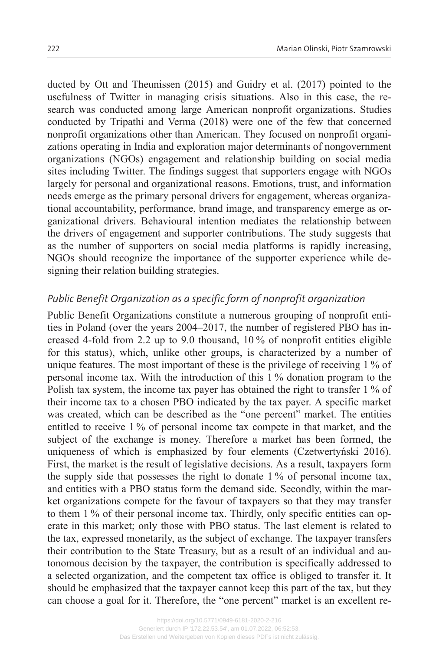ducted by Ott and Theunissen (2015) and Guidry et al. (2017) pointed to the usefulness of Twitter in managing crisis situations. Also in this case, the research was conducted among large American nonprofit organizations. Studies conducted by Tripathi and Verma (2018) were one of the few that concerned nonprofit organizations other than American. They focused on nonprofit organizations operating in India and exploration major determinants of nongovernment organizations (NGOs) engagement and relationship building on social media sites including Twitter. The findings suggest that supporters engage with NGOs largely for personal and organizational reasons. Emotions, trust, and information needs emerge as the primary personal drivers for engagement, whereas organizational accountability, performance, brand image, and transparency emerge as or‐ ganizational drivers. Behavioural intention mediates the relationship between the drivers of engagement and supporter contributions. The study suggests that as the number of supporters on social media platforms is rapidly increasing, NGOs should recognize the importance of the supporter experience while de‐ signing their relation building strategies.

### *Public Benefit Organization as a specific form of nonprofit organization*

Public Benefit Organizations constitute a numerous grouping of nonprofit entities in Poland (over the years 2004–2017, the number of registered PBO has in‐ creased 4-fold from 2.2 up to 9.0 thousand, 10 % of nonprofit entities eligible for this status), which, unlike other groups, is characterized by a number of unique features. The most important of these is the privilege of receiving 1 % of personal income tax. With the introduction of this 1 % donation program to the Polish tax system, the income tax payer has obtained the right to transfer 1 % of their income tax to a chosen PBO indicated by the tax payer. A specific market was created, which can be described as the "one percent" market. The entities entitled to receive 1 % of personal income tax compete in that market, and the subject of the exchange is money. Therefore a market has been formed, the uniqueness of which is emphasized by four elements (Czetwertyński 2016). First, the market is the result of legislative decisions. As a result, taxpayers form the supply side that possesses the right to donate 1 % of personal income tax, and entities with a PBO status form the demand side. Secondly, within the market organizations compete for the favour of taxpayers so that they may transfer to them 1 % of their personal income tax. Thirdly, only specific entities can operate in this market; only those with PBO status. The last element is related to the tax, expressed monetarily, as the subject of exchange. The taxpayer transfers their contribution to the State Treasury, but as a result of an individual and au‐ tonomous decision by the taxpayer, the contribution is specifically addressed to a selected organization, and the competent tax office is obliged to transfer it. It should be emphasized that the taxpayer cannot keep this part of the tax, but they can choose a goal for it. Therefore, the "one percent" market is an excellent re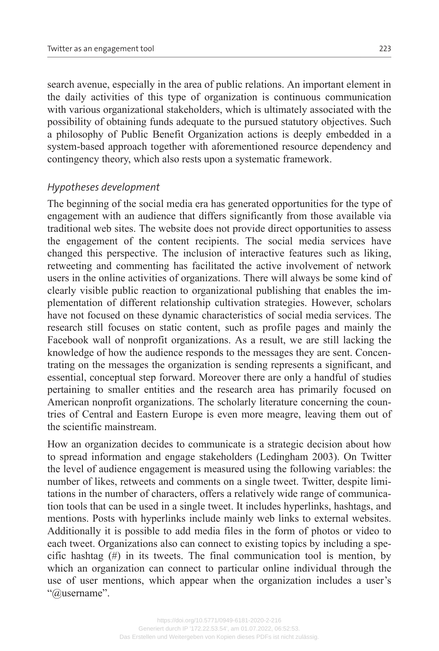search avenue, especially in the area of public relations. An important element in the daily activities of this type of organization is continuous communication with various organizational stakeholders, which is ultimately associated with the possibility of obtaining funds adequate to the pursued statutory objectives. Such a philosophy of Public Benefit Organization actions is deeply embedded in a system-based approach together with aforementioned resource dependency and contingency theory, which also rests upon a systematic framework.

#### *Hypotheses development*

The beginning of the social media era has generated opportunities for the type of engagement with an audience that differs significantly from those available via traditional web sites. The website does not provide direct opportunities to assess the engagement of the content recipients. The social media services have changed this perspective. The inclusion of interactive features such as liking, retweeting and commenting has facilitated the active involvement of network users in the online activities of organizations. There will always be some kind of clearly visible public reaction to organizational publishing that enables the im‐ plementation of different relationship cultivation strategies. However, scholars have not focused on these dynamic characteristics of social media services. The research still focuses on static content, such as profile pages and mainly the Facebook wall of nonprofit organizations. As a result, we are still lacking the knowledge of how the audience responds to the messages they are sent. Concentrating on the messages the organization is sending represents a significant, and essential, conceptual step forward. Moreover there are only a handful of studies pertaining to smaller entities and the research area has primarily focused on American nonprofit organizations. The scholarly literature concerning the countries of Central and Eastern Europe is even more meagre, leaving them out of the scientific mainstream.

How an organization decides to communicate is a strategic decision about how to spread information and engage stakeholders (Ledingham 2003). On Twitter the level of audience engagement is measured using the following variables: the number of likes, retweets and comments on a single tweet. Twitter, despite limitations in the number of characters, offers a relatively wide range of communica‐ tion tools that can be used in a single tweet. It includes hyperlinks, hashtags, and mentions. Posts with hyperlinks include mainly web links to external websites. Additionally it is possible to add media files in the form of photos or video to each tweet. Organizations also can connect to existing topics by including a specific hashtag (#) in its tweets. The final communication tool is mention, by which an organization can connect to particular online individual through the use of user mentions, which appear when the organization includes a user's "@username".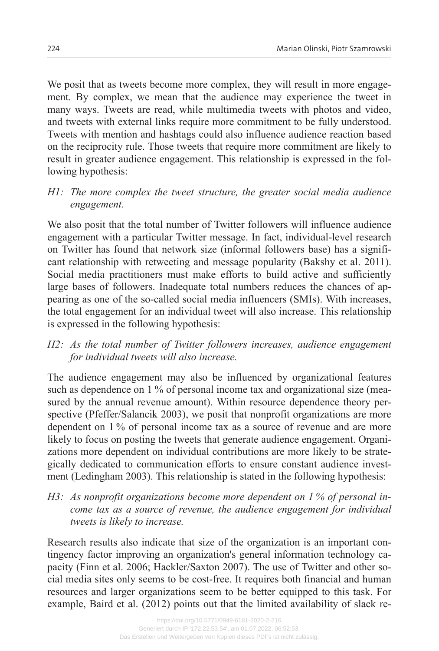We posit that as tweets become more complex, they will result in more engagement. By complex, we mean that the audience may experience the tweet in many ways. Tweets are read, while multimedia tweets with photos and video, and tweets with external links require more commitment to be fully understood. Tweets with mention and hashtags could also influence audience reaction based on the reciprocity rule. Those tweets that require more commitment are likely to result in greater audience engagement. This relationship is expressed in the following hypothesis:

*H1: The more complex the tweet structure, the greater social media audience engagement.*

We also posit that the total number of Twitter followers will influence audience engagement with a particular Twitter message. In fact, individual-level research on Twitter has found that network size (informal followers base) has a significant relationship with retweeting and message popularity (Bakshy et al. 2011). Social media practitioners must make efforts to build active and sufficiently large bases of followers. Inadequate total numbers reduces the chances of appearing as one of the so-called social media influencers (SMIs). With increases, the total engagement for an individual tweet will also increase. This relationship is expressed in the following hypothesis:

*H2: As the total number of Twitter followers increases, audience engagement for individual tweets will also increase.*

The audience engagement may also be influenced by organizational features such as dependence on 1 % of personal income tax and organizational size (measured by the annual revenue amount). Within resource dependence theory perspective (Pfeffer/Salancik 2003), we posit that nonprofit organizations are more dependent on 1 % of personal income tax as a source of revenue and are more likely to focus on posting the tweets that generate audience engagement. Organizations more dependent on individual contributions are more likely to be strategically dedicated to communication efforts to ensure constant audience investment (Ledingham 2003). This relationship is stated in the following hypothesis:

*H3: As nonprofit organizations become more dependent on 1 % of personal in‐ come tax as a source of revenue, the audience engagement for individual tweets is likely to increase.*

Research results also indicate that size of the organization is an important contingency factor improving an organization's general information technology capacity (Finn et al. 2006; Hackler/Saxton 2007). The use of Twitter and other social media sites only seems to be cost-free. It requires both financial and human resources and larger organizations seem to be better equipped to this task. For example, Baird et al. (2012) points out that the limited availability of slack re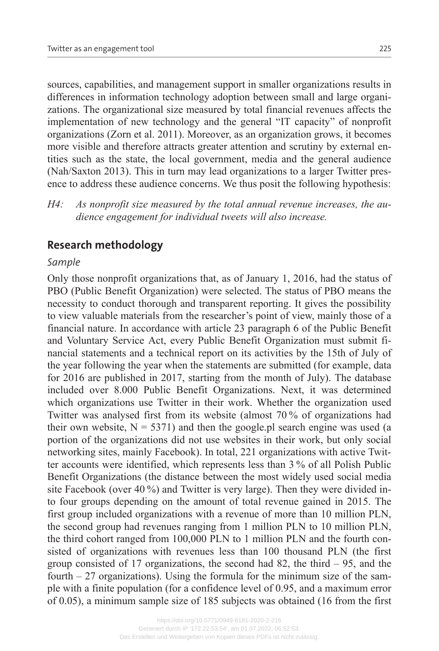sources, capabilities, and management support in smaller organizations results in differences in information technology adoption between small and large organi‐ zations. The organizational size measured by total financial revenues affects the implementation of new technology and the general "IT capacity" of nonprofit organizations (Zorn et al. 2011). Moreover, as an organization grows, it becomes more visible and therefore attracts greater attention and scrutiny by external entities such as the state, the local government, media and the general audience (Nah/Saxton 2013). This in turn may lead organizations to a larger Twitter pres‐ ence to address these audience concerns. We thus posit the following hypothesis:

*H4: As nonprofit size measured by the total annual revenue increases, the au‐ dience engagement for individual tweets will also increase.*

# **Research methodology**

#### *Sample*

Only those nonprofit organizations that, as of January 1, 2016, had the status of PBO (Public Benefit Organization) were selected. The status of PBO means the necessity to conduct thorough and transparent reporting. It gives the possibility to view valuable materials from the researcher's point of view, mainly those of a financial nature. In accordance with article 23 paragraph 6 of the Public Benefit and Voluntary Service Act, every Public Benefit Organization must submit fi‐ nancial statements and a technical report on its activities by the 15th of July of the year following the year when the statements are submitted (for example, data for 2016 are published in 2017, starting from the month of July). The database included over 8.000 Public Benefit Organizations. Next, it was determined which organizations use Twitter in their work. Whether the organization used Twitter was analysed first from its website (almost 70 % of organizations had their own website,  $N = 5371$ ) and then the google.pl search engine was used (a portion of the organizations did not use websites in their work, but only social networking sites, mainly Facebook). In total, 221 organizations with active Twit‐ ter accounts were identified, which represents less than 3 % of all Polish Public Benefit Organizations (the distance between the most widely used social media site Facebook (over 40 %) and Twitter is very large). Then they were divided into four groups depending on the amount of total revenue gained in 2015. The first group included organizations with a revenue of more than 10 million PLN, the second group had revenues ranging from 1 million PLN to 10 million PLN, the third cohort ranged from 100,000 PLN to 1 million PLN and the fourth consisted of organizations with revenues less than 100 thousand PLN (the first group consisted of 17 organizations, the second had 82, the third – 95, and the fourth  $-27$  organizations). Using the formula for the minimum size of the sample with a finite population (for a confidence level of 0.95, and a maximum error of 0.05), a minimum sample size of 185 subjects was obtained (16 from the first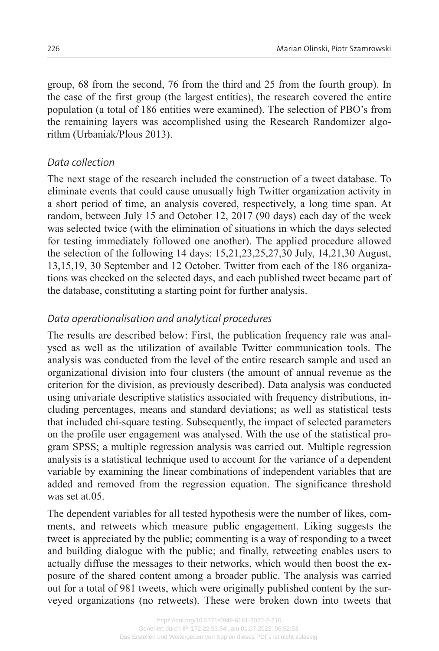group, 68 from the second, 76 from the third and 25 from the fourth group). In the case of the first group (the largest entities), the research covered the entire population (a total of 186 entities were examined). The selection of PBO's from the remaining layers was accomplished using the Research Randomizer algorithm (Urbaniak/Plous 2013).

## *Data collection*

The next stage of the research included the construction of a tweet database. To eliminate events that could cause unusually high Twitter organization activity in a short period of time, an analysis covered, respectively, a long time span. At random, between July 15 and October 12, 2017 (90 days) each day of the week was selected twice (with the elimination of situations in which the days selected for testing immediately followed one another). The applied procedure allowed the selection of the following 14 days: 15,21,23,25,27,30 July, 14,21,30 August, 13,15,19, 30 September and 12 October. Twitter from each of the 186 organiza‐ tions was checked on the selected days, and each published tweet became part of the database, constituting a starting point for further analysis.

## *Data operationalisation and analytical procedures*

The results are described below: First, the publication frequency rate was analysed as well as the utilization of available Twitter communication tools. The analysis was conducted from the level of the entire research sample and used an organizational division into four clusters (the amount of annual revenue as the criterion for the division, as previously described). Data analysis was conducted using univariate descriptive statistics associated with frequency distributions, in‐ cluding percentages, means and standard deviations; as well as statistical tests that included chi-square testing. Subsequently, the impact of selected parameters on the profile user engagement was analysed. With the use of the statistical pro‐ gram SPSS; a multiple regression analysis was carried out. Multiple regression analysis is a statistical technique used to account for the variance of a dependent variable by examining the linear combinations of independent variables that are added and removed from the regression equation. The significance threshold was set at.05.

The dependent variables for all tested hypothesis were the number of likes, comments, and retweets which measure public engagement. Liking suggests the tweet is appreciated by the public; commenting is a way of responding to a tweet and building dialogue with the public; and finally, retweeting enables users to actually diffuse the messages to their networks, which would then boost the ex‐ posure of the shared content among a broader public. The analysis was carried out for a total of 981 tweets, which were originally published content by the surveyed organizations (no retweets). These were broken down into tweets that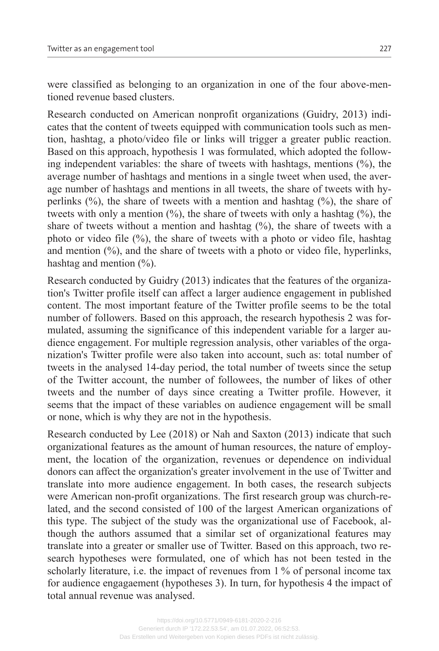were classified as belonging to an organization in one of the four above-mentioned revenue based clusters.

Research conducted on American nonprofit organizations (Guidry, 2013) indi‐ cates that the content of tweets equipped with communication tools such as mention, hashtag, a photo/video file or links will trigger a greater public reaction. Based on this approach, hypothesis 1 was formulated, which adopted the follow‐ ing independent variables: the share of tweets with hashtags, mentions (%), the average number of hashtags and mentions in a single tweet when used, the average number of hashtags and mentions in all tweets, the share of tweets with hyperlinks  $(\%)$ , the share of tweets with a mention and hashtag  $(\%)$ , the share of tweets with only a mention  $(\%)$ , the share of tweets with only a hashtag  $(\%)$ , the share of tweets without a mention and hashtag  $(\%)$ , the share of tweets with a photo or video file  $(\%)$ , the share of tweets with a photo or video file, hashtag and mention  $(%)$ , and the share of tweets with a photo or video file, hyperlinks, hashtag and mention  $(\% )$ .

Research conducted by Guidry (2013) indicates that the features of the organiza‐ tion's Twitter profile itself can affect a larger audience engagement in published content. The most important feature of the Twitter profile seems to be the total number of followers. Based on this approach, the research hypothesis 2 was formulated, assuming the significance of this independent variable for a larger audience engagement. For multiple regression analysis, other variables of the organization's Twitter profile were also taken into account, such as: total number of tweets in the analysed 14-day period, the total number of tweets since the setup of the Twitter account, the number of followees, the number of likes of other tweets and the number of days since creating a Twitter profile. However, it seems that the impact of these variables on audience engagement will be small or none, which is why they are not in the hypothesis.

Research conducted by Lee (2018) or Nah and Saxton (2013) indicate that such organizational features as the amount of human resources, the nature of employ‐ ment, the location of the organization, revenues or dependence on individual donors can affect the organization's greater involvement in the use of Twitter and translate into more audience engagement. In both cases, the research subjects were American non-profit organizations. The first research group was church-related, and the second consisted of 100 of the largest American organizations of this type. The subject of the study was the organizational use of Facebook, al‐ though the authors assumed that a similar set of organizational features may translate into a greater or smaller use of Twitter. Based on this approach, two re‐ search hypotheses were formulated, one of which has not been tested in the scholarly literature, i.e. the impact of revenues from 1 % of personal income tax for audience engagaement (hypotheses 3). In turn, for hypothesis 4 the impact of total annual revenue was analysed.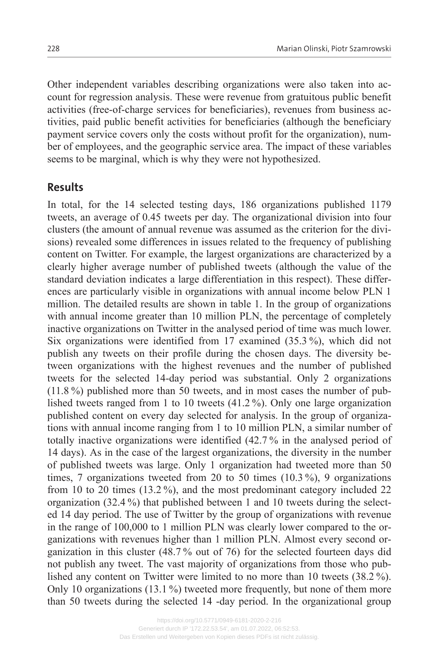Other independent variables describing organizations were also taken into ac‐ count for regression analysis. These were revenue from gratuitous public benefit activities (free-of-charge services for beneficiaries), revenues from business ac‐ tivities, paid public benefit activities for beneficiaries (although the beneficiary payment service covers only the costs without profit for the organization), number of employees, and the geographic service area. The impact of these variables seems to be marginal, which is why they were not hypothesized.

### **Results**

In total, for the 14 selected testing days, 186 organizations published 1179 tweets, an average of 0.45 tweets per day. The organizational division into four clusters (the amount of annual revenue was assumed as the criterion for the divisions) revealed some differences in issues related to the frequency of publishing content on Twitter. For example, the largest organizations are characterized by a clearly higher average number of published tweets (although the value of the standard deviation indicates a large differentiation in this respect). These differ‐ ences are particularly visible in organizations with annual income below PLN 1 million. The detailed results are shown in table 1. In the group of organizations with annual income greater than 10 million PLN, the percentage of completely inactive organizations on Twitter in the analysed period of time was much lower. Six organizations were identified from 17 examined (35.3 %), which did not publish any tweets on their profile during the chosen days. The diversity between organizations with the highest revenues and the number of published tweets for the selected 14-day period was substantial. Only 2 organizations (11.8 %) published more than 50 tweets, and in most cases the number of pub‐ lished tweets ranged from 1 to 10 tweets (41.2 %). Only one large organization published content on every day selected for analysis. In the group of organizations with annual income ranging from 1 to 10 million PLN, a similar number of totally inactive organizations were identified (42.7 % in the analysed period of 14 days). As in the case of the largest organizations, the diversity in the number of published tweets was large. Only 1 organization had tweeted more than 50 times, 7 organizations tweeted from 20 to 50 times (10.3 %), 9 organizations from 10 to 20 times (13.2 %), and the most predominant category included 22 organization  $(32.4\%)$  that published between 1 and 10 tweets during the selected 14 day period. The use of Twitter by the group of organizations with revenue in the range of 100,000 to 1 million PLN was clearly lower compared to the organizations with revenues higher than 1 million PLN. Almost every second or‐ ganization in this cluster (48.7 % out of 76) for the selected fourteen days did not publish any tweet. The vast majority of organizations from those who pub‐ lished any content on Twitter were limited to no more than 10 tweets (38.2 %). Only 10 organizations (13.1 %) tweeted more frequently, but none of them more than 50 tweets during the selected 14 -day period. In the organizational group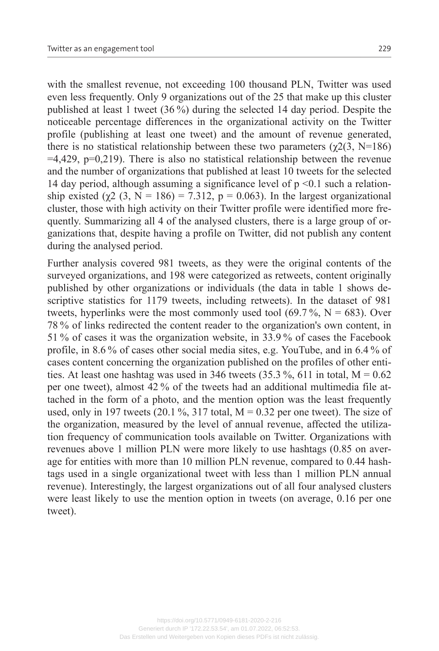with the smallest revenue, not exceeding 100 thousand PLN, Twitter was used even less frequently. Only 9 organizations out of the 25 that make up this cluster published at least 1 tweet (36 %) during the selected 14 day period. Despite the noticeable percentage differences in the organizational activity on the Twitter profile (publishing at least one tweet) and the amount of revenue generated, there is no statistical relationship between these two parameters ( $\gamma$ 2(3, N=186)  $=4,429$ ,  $p=0,219$ ). There is also no statistical relationship between the revenue and the number of organizations that published at least 10 tweets for the selected 14 day period, although assuming a significance level of  $p \le 0.1$  such a relationship existed ( $\chi$ 2 (3, N = 186) = 7.312, p = 0.063). In the largest organizational cluster, those with high activity on their Twitter profile were identified more frequently. Summarizing all 4 of the analysed clusters, there is a large group of or‐ ganizations that, despite having a profile on Twitter, did not publish any content during the analysed period.

Further analysis covered 981 tweets, as they were the original contents of the surveyed organizations, and 198 were categorized as retweets, content originally published by other organizations or individuals (the data in table 1 shows de‐ scriptive statistics for 1179 tweets, including retweets). In the dataset of 981 tweets, hyperlinks were the most commonly used tool  $(69.7\%, N = 683)$ . Over 78 % of links redirected the content reader to the organization's own content, in 51 % of cases it was the organization website, in 33.9 % of cases the Facebook profile, in 8.6 % of cases other social media sites, e.g. YouTube, and in 6.4 % of cases content concerning the organization published on the profiles of other entities. At least one hashtag was used in 346 tweets  $(35.3\%, 611)$  in total, M = 0.62 per one tweet), almost 42 % of the tweets had an additional multimedia file attached in the form of a photo, and the mention option was the least frequently used, only in 197 tweets (20.1 %, 317 total,  $M = 0.32$  per one tweet). The size of the organization, measured by the level of annual revenue, affected the utiliza‐ tion frequency of communication tools available on Twitter. Organizations with revenues above 1 million PLN were more likely to use hashtags (0.85 on average for entities with more than 10 million PLN revenue, compared to 0.44 hashtags used in a single organizational tweet with less than 1 million PLN annual revenue). Interestingly, the largest organizations out of all four analysed clusters were least likely to use the mention option in tweets (on average, 0.16 per one tweet).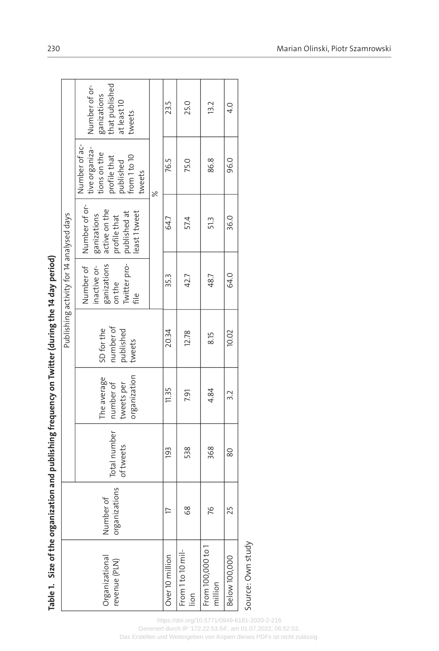| Diu Aga ti                                                                                                     |
|----------------------------------------------------------------------------------------------------------------|
|                                                                                                                |
|                                                                                                                |
|                                                                                                                |
| ;                                                                                                              |
|                                                                                                                |
|                                                                                                                |
|                                                                                                                |
|                                                                                                                |
| ١                                                                                                              |
|                                                                                                                |
|                                                                                                                |
| :                                                                                                              |
|                                                                                                                |
|                                                                                                                |
|                                                                                                                |
|                                                                                                                |
|                                                                                                                |
|                                                                                                                |
|                                                                                                                |
|                                                                                                                |
| ia franceacu an Twitter                                                                                        |
|                                                                                                                |
|                                                                                                                |
|                                                                                                                |
|                                                                                                                |
|                                                                                                                |
|                                                                                                                |
|                                                                                                                |
|                                                                                                                |
|                                                                                                                |
|                                                                                                                |
|                                                                                                                |
| )<br>:<br>:                                                                                                    |
|                                                                                                                |
|                                                                                                                |
|                                                                                                                |
|                                                                                                                |
|                                                                                                                |
|                                                                                                                |
|                                                                                                                |
|                                                                                                                |
| בומוניות היה המורק המה המה המוניות והומוניות<br>ll allu pupill:                                                |
|                                                                                                                |
|                                                                                                                |
|                                                                                                                |
|                                                                                                                |
|                                                                                                                |
|                                                                                                                |
|                                                                                                                |
|                                                                                                                |
|                                                                                                                |
|                                                                                                                |
|                                                                                                                |
|                                                                                                                |
|                                                                                                                |
|                                                                                                                |
|                                                                                                                |
|                                                                                                                |
|                                                                                                                |
|                                                                                                                |
|                                                                                                                |
|                                                                                                                |
|                                                                                                                |
|                                                                                                                |
|                                                                                                                |
|                                                                                                                |
| היינו איט יינו של היינו האינו האינו האינו האינו האינו האינו האינו האינו האינו האינו האינו האינו האינו האינו הא |
|                                                                                                                |
|                                                                                                                |
| Table 1.                                                                                                       |
|                                                                                                                |
|                                                                                                                |
|                                                                                                                |

|                                        |                            |                           |                                                        |                                                | Publishing activity for 14 analysed days                                   |                                                                                               |                                                                                                        |                                                                         |
|----------------------------------------|----------------------------|---------------------------|--------------------------------------------------------|------------------------------------------------|----------------------------------------------------------------------------|-----------------------------------------------------------------------------------------------|--------------------------------------------------------------------------------------------------------|-------------------------------------------------------------------------|
| <b>Drganizational</b><br>'evenue (PLN) | organizations<br>Number of | Total number<br>of tweets | organization<br>The average<br>number of<br>tweets per | number of<br>SD for the<br>published<br>tweets | Twitter pro-<br>Number of<br>ganizations<br>inactive or-<br>on the<br>file | Number of or-<br>active on the<br>published at<br>east 1 tweet<br>profile that<br>ganizations | Number of ac-<br>tive organiza-<br>tions on the<br>from 1 to 10<br>profile that<br>published<br>tweets | that published<br>Number of or-<br>ganizations<br>at least 10<br>tweets |
|                                        |                            |                           |                                                        |                                                |                                                                            |                                                                                               | $\approx$                                                                                              |                                                                         |
| Over 10 million                        | $\overline{\phantom{0}}$   | $\overline{193}$          | 11.35                                                  | 20.34                                          | 35.3                                                                       | 64.7                                                                                          | 76.5                                                                                                   | 23.5                                                                    |
| From 1 to 10 mil-<br>lion              | 68                         | 538                       | <b>191</b>                                             | 12.78                                          | 42.7                                                                       | 57.4                                                                                          | 75.0                                                                                                   | 25.0                                                                    |
| From 100,000 to 1<br>million           | 76                         | 368                       | 4.84                                                   | 8.15                                           | 48.7                                                                       | 51.3                                                                                          | 86.8                                                                                                   | 13.2                                                                    |
| Below 100,000                          | 25                         | 80                        | 3.2                                                    | 10.02                                          | 64.0                                                                       | 36.0                                                                                          | 96.0                                                                                                   | $\frac{4}{1}$                                                           |
| Source: Own study                      |                            |                           |                                                        |                                                |                                                                            |                                                                                               |                                                                                                        |                                                                         |

Source: Own study Source: Own study

<https://doi.org/10.5771/0949-6181-2020-2-216>

Generiert durch IP '172.22.53.54', am 01.07.2022, 06:52:53.

Das Erstellen und Weitergeben von Kopien dieses PDFs ist nicht zulässig.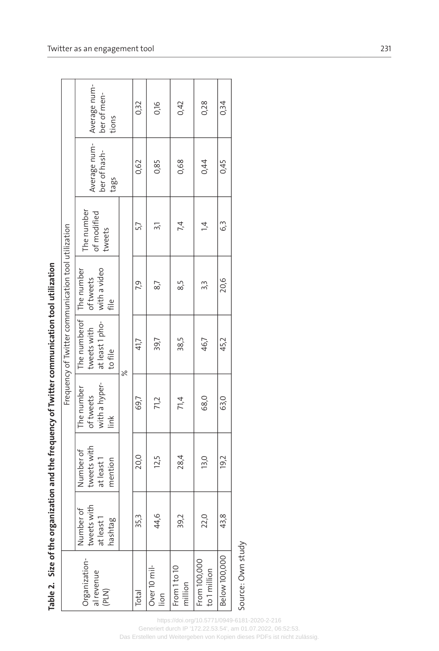| <b>Alerican Reserves Internet</b>            |
|----------------------------------------------|
|                                              |
|                                              |
| <b>NUMBER OF STRAINS</b>                     |
|                                              |
| ֚֬<br>)<br>;<br>;<br>;                       |
|                                              |
|                                              |
|                                              |
| . Size of the organization and the frequency |
| laule 4.<br>r alala 1                        |

|                                      |                                                   |                                                   |                                                  | Frequency of Twitter communication tool utilization                  |                                 |                                     |                                      |                                      |
|--------------------------------------|---------------------------------------------------|---------------------------------------------------|--------------------------------------------------|----------------------------------------------------------------------|---------------------------------|-------------------------------------|--------------------------------------|--------------------------------------|
| Organization-<br>al revenue<br>(PLN) | tweets with<br>Number of<br>at least 1<br>hashtag | tweets with<br>Number of<br>mention<br>at least 1 | with a hyper-<br>The number<br>of tweets<br>link | The numberof The number<br>at least 1 pho-<br>tweets with<br>to file | with a video<br>of tweets<br>€⊫ | The number<br>of modified<br>tweets | Average num-<br>ber of hash-<br>tags | Average num-<br>ber of men-<br>tions |
|                                      |                                                   |                                                   |                                                  | $\geqslant$                                                          |                                 |                                     |                                      |                                      |
| Total                                | 35,3                                              | 20,0                                              | 69,7                                             | 41,7                                                                 | P.9                             | 5.7                                 | 0,62                                 | 0,32                                 |
| Over 10 mil-<br>$\frac{5}{10}$       | 44,6                                              | 12,5                                              | 71,2                                             | 39,7                                                                 | 87                              | 31                                  | 0,85                                 | 0,16                                 |
| From 1 to 10<br>million              | 39,2                                              | 28,4                                              | 71,4                                             | 38,5                                                                 | 8.5                             | 74                                  | 0,68                                 | 0,42                                 |
| From 100,000<br>to 1 million         | 22,0                                              | 13,0                                              | 68,0                                             | 46,7                                                                 | 3.j                             | $\dot{=}$                           | 0,44                                 | 0,28                                 |
| Below 100,000                        | 43,8                                              | 19,2                                              | 63,0                                             | 45,2                                                                 | 20,6                            | G3                                  | 0,45                                 | 0,34                                 |
| $\frac{1}{1}$                        |                                                   |                                                   |                                                  |                                                                      |                                 |                                     |                                      |                                      |

Source: Own study Source: Own study

<https://doi.org/10.5771/0949-6181-2020-2-216> Generiert durch IP '172.22.53.54', am 01.07.2022, 06:52:53.

Das Erstellen und Weitergeben von Kopien dieses PDFs ist nicht zulässig.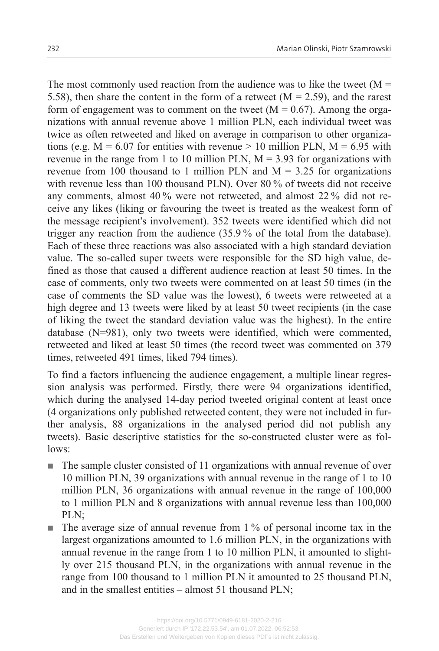The most commonly used reaction from the audience was to like the tweet  $(M =$ 5.58), then share the content in the form of a retweet  $(M = 2.59)$ , and the rarest form of engagement was to comment on the tweet ( $M = 0.67$ ). Among the organizations with annual revenue above 1 million PLN, each individual tweet was twice as often retweeted and liked on average in comparison to other organizations (e.g.  $M = 6.07$  for entities with revenue  $> 10$  million PLN,  $M = 6.95$  with revenue in the range from 1 to 10 million PLN,  $M = 3.93$  for organizations with revenue from 100 thousand to 1 million PLN and  $M = 3.25$  for organizations with revenue less than 100 thousand PLN). Over 80 % of tweets did not receive any comments, almost 40 % were not retweeted, and almost 22 % did not receive any likes (liking or favouring the tweet is treated as the weakest form of the message recipient's involvement). 352 tweets were identified which did not trigger any reaction from the audience (35.9 % of the total from the database). Each of these three reactions was also associated with a high standard deviation value. The so-called super tweets were responsible for the SD high value, de‐ fined as those that caused a different audience reaction at least 50 times. In the case of comments, only two tweets were commented on at least 50 times (in the case of comments the SD value was the lowest), 6 tweets were retweeted at a high degree and 13 tweets were liked by at least 50 tweet recipients (in the case of liking the tweet the standard deviation value was the highest). In the entire database (N=981), only two tweets were identified, which were commented, retweeted and liked at least 50 times (the record tweet was commented on 379 times, retweeted 491 times, liked 794 times).

To find a factors influencing the audience engagement, a multiple linear regres‐ sion analysis was performed. Firstly, there were 94 organizations identified, which during the analysed 14-day period tweeted original content at least once (4 organizations only published retweeted content, they were not included in fur‐ ther analysis, 88 organizations in the analysed period did not publish any tweets). Basic descriptive statistics for the so-constructed cluster were as fol‐ lows:

- $\blacksquare$  The sample cluster consisted of 11 organizations with annual revenue of over 10 million PLN, 39 organizations with annual revenue in the range of 1 to 10 million PLN, 36 organizations with annual revenue in the range of 100,000 to 1 million PLN and 8 organizations with annual revenue less than 100,000 PLN;
- $\blacksquare$  The average size of annual revenue from 1% of personal income tax in the largest organizations amounted to 1.6 million PLN, in the organizations with annual revenue in the range from 1 to 10 million PLN, it amounted to slightly over 215 thousand PLN, in the organizations with annual revenue in the range from 100 thousand to 1 million PLN it amounted to 25 thousand PLN, and in the smallest entities – almost 51 thousand PLN;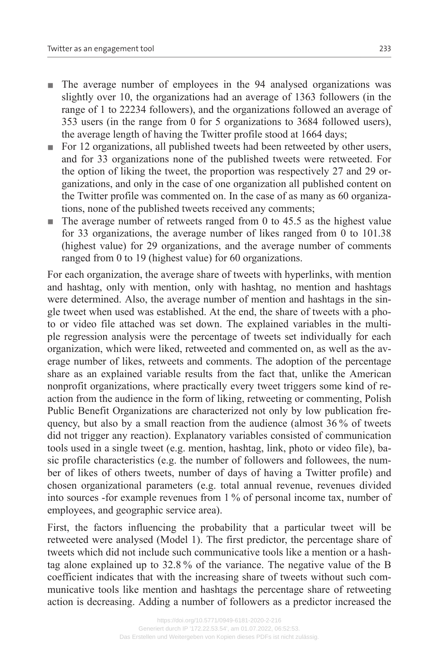- n The average number of employees in the 94 analysed organizations was slightly over 10, the organizations had an average of 1363 followers (in the range of 1 to 22234 followers), and the organizations followed an average of 353 users (in the range from 0 for 5 organizations to 3684 followed users), the average length of having the Twitter profile stood at 1664 days;
- n For 12 organizations, all published tweets had been retweeted by other users, and for 33 organizations none of the published tweets were retweeted. For the option of liking the tweet, the proportion was respectively 27 and 29 organizations, and only in the case of one organization all published content on the Twitter profile was commented on. In the case of as many as 60 organiza‐ tions, none of the published tweets received any comments;
- $\blacksquare$  The average number of retweets ranged from 0 to 45.5 as the highest value for 33 organizations, the average number of likes ranged from 0 to 101.38 (highest value) for 29 organizations, and the average number of comments ranged from 0 to 19 (highest value) for 60 organizations.

For each organization, the average share of tweets with hyperlinks, with mention and hashtag, only with mention, only with hashtag, no mention and hashtags were determined. Also, the average number of mention and hashtags in the single tweet when used was established. At the end, the share of tweets with a pho‐ to or video file attached was set down. The explained variables in the multiple regression analysis were the percentage of tweets set individually for each organization, which were liked, retweeted and commented on, as well as the average number of likes, retweets and comments. The adoption of the percentage share as an explained variable results from the fact that, unlike the American nonprofit organizations, where practically every tweet triggers some kind of re‐ action from the audience in the form of liking, retweeting or commenting, Polish Public Benefit Organizations are characterized not only by low publication fre‐ quency, but also by a small reaction from the audience (almost 36 % of tweets did not trigger any reaction). Explanatory variables consisted of communication tools used in a single tweet (e.g. mention, hashtag, link, photo or video file), basic profile characteristics (e.g. the number of followers and followees, the num‐ ber of likes of others tweets, number of days of having a Twitter profile) and chosen organizational parameters (e.g. total annual revenue, revenues divided into sources -for example revenues from 1 % of personal income tax, number of employees, and geographic service area).

First, the factors influencing the probability that a particular tweet will be retweeted were analysed (Model 1). The first predictor, the percentage share of tweets which did not include such communicative tools like a mention or a hash‐ tag alone explained up to 32.8 % of the variance. The negative value of the B coefficient indicates that with the increasing share of tweets without such communicative tools like mention and hashtags the percentage share of retweeting action is decreasing. Adding a number of followers as a predictor increased the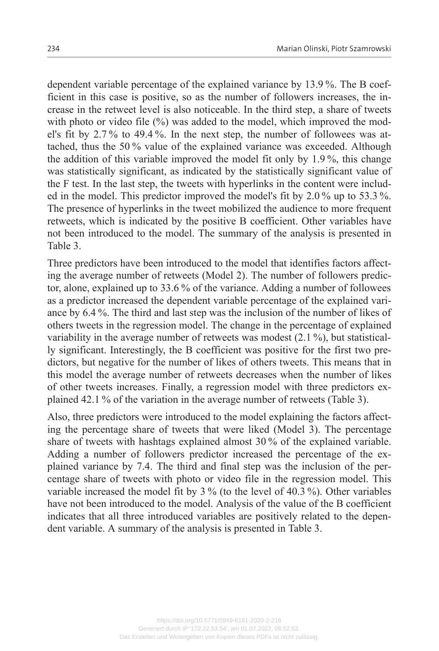dependent variable percentage of the explained variance by 13.9%. The B coefficient in this case is positive, so as the number of followers increases, the in‐ crease in the retweet level is also noticeable. In the third step, a share of tweets with photo or video file (%) was added to the model, which improved the model's fit by 2.7% to 49.4%. In the next step, the number of followees was attached, thus the 50 % value of the explained variance was exceeded. Although the addition of this variable improved the model fit only by 1.9 %, this change was statistically significant, as indicated by the statistically significant value of the F test. In the last step, the tweets with hyperlinks in the content were includ‐ ed in the model. This predictor improved the model's fit by 2.0 % up to 53.3 %. The presence of hyperlinks in the tweet mobilized the audience to more frequent retweets, which is indicated by the positive B coefficient. Other variables have not been introduced to the model. The summary of the analysis is presented in Table 3.

Three predictors have been introduced to the model that identifies factors affecting the average number of retweets (Model 2). The number of followers predic‐ tor, alone, explained up to 33.6 % of the variance. Adding a number of followees as a predictor increased the dependent variable percentage of the explained variance by 6.4 %. The third and last step was the inclusion of the number of likes of others tweets in the regression model. The change in the percentage of explained variability in the average number of retweets was modest  $(2.1\%)$ , but statistically significant. Interestingly, the B coefficient was positive for the first two pre‐ dictors, but negative for the number of likes of others tweets. This means that in this model the average number of retweets decreases when the number of likes of other tweets increases. Finally, a regression model with three predictors ex‐ plained 42.1 % of the variation in the average number of retweets (Table 3).

Also, three predictors were introduced to the model explaining the factors affecting the percentage share of tweets that were liked (Model 3). The percentage share of tweets with hashtags explained almost 30 % of the explained variable. Adding a number of followers predictor increased the percentage of the explained variance by 7.4. The third and final step was the inclusion of the per‐ centage share of tweets with photo or video file in the regression model. This variable increased the model fit by 3 % (to the level of 40.3 %). Other variables have not been introduced to the model. Analysis of the value of the B coefficient indicates that all three introduced variables are positively related to the dependent variable. A summary of the analysis is presented in Table 3.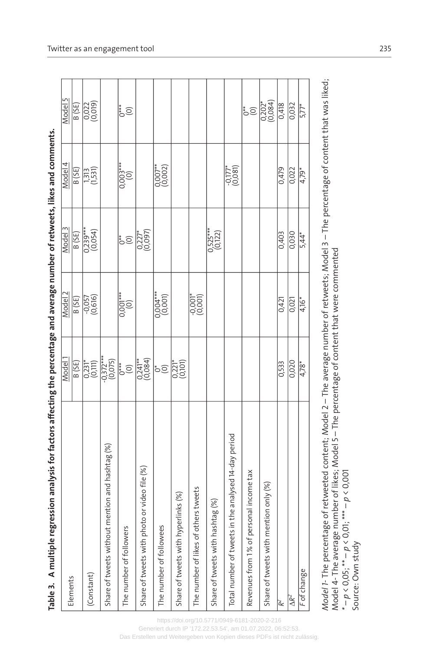| i                 |
|-------------------|
|                   |
|                   |
|                   |
|                   |
|                   |
|                   |
|                   |
|                   |
|                   |
|                   |
|                   |
|                   |
|                   |
|                   |
|                   |
|                   |
|                   |
|                   |
|                   |
|                   |
|                   |
|                   |
|                   |
|                   |
|                   |
|                   |
|                   |
|                   |
|                   |
|                   |
|                   |
|                   |
|                   |
|                   |
|                   |
|                   |
|                   |
|                   |
|                   |
|                   |
|                   |
|                   |
|                   |
|                   |
| ;                 |
|                   |
| j                 |
|                   |
|                   |
| ï                 |
| l                 |
| labl <sub>i</sub> |
| I                 |

|                                                         | Model <sup>1</sup>        | Model 2                    | Model 3                    | Model 4                    | Model 5                         |
|---------------------------------------------------------|---------------------------|----------------------------|----------------------------|----------------------------|---------------------------------|
| Elements                                                | B (SE)                    | B (SE)                     | B (SE)                     | B (SE)                     | B (SE)                          |
| (Constant)                                              | $\frac{1}{2}$             | $-0,057$<br>(0,616)        | $\frac{0,239***}{(0,054)}$ | $\frac{1313}{(1,531)}$     | 0,022<br>(0,019)                |
| Share of tweets without mention and hashtag (%)         | $-0,372***$<br>(0,075)    |                            |                            |                            |                                 |
| The number of followers                                 | $\bigoplus_{i=1}^{n}$     | $0,001***$                 | $\sum_{i=1}^{n}$           | $0,003***$                 | $\sum_{i=1}^{n}$                |
| Share of tweets with photo or video file (%)            | $\frac{0,241**}{(0,084)}$ |                            | $\binom{0,227^*}{0,097}$   |                            |                                 |
| The number of followees                                 | $\bigcirc^*$              | $\frac{0.004***}{(0.001)}$ |                            | $0,007**$                  |                                 |
| Share of tweets with hyperlinks (%)                     | $\frac{0,221}{0,101}$     |                            |                            |                            |                                 |
| others tweets<br>The number of likes of                 |                           | $\binom{10000}{0000}$      |                            |                            |                                 |
| Share of tweets with hashtag (%)                        |                           |                            | $0,525***$<br>(0,122)      |                            |                                 |
| in the analysed 14-day period<br>Total number of tweets |                           |                            |                            | $\frac{-0.177^*}{(0.081)}$ |                                 |
| Revenues from 1% of personal income tax                 |                           |                            |                            |                            | $\sum_{i=1}^{n}$                |
| Share of tweets with mention only (%)                   |                           |                            |                            |                            | $\overline{0,202}^*$<br>(0,084) |
| ř                                                       | 0,533                     | 0,421                      | 0,403                      | 0,479                      | 0,418                           |
| $\Delta R^2$                                            | 0,020                     | 0,021                      | 0,030                      | 0,022                      | 0,032                           |
| F of change                                             | $4,78*$                   | $4,16*$                    | $5,44*$                    | $4,79*$                    | $5,77*$                         |
|                                                         |                           |                            |                            |                            |                                 |

Model 1- The percentage of retweeted content; Model 2 - The average number of retweets; Model 3 - The percentage of content that was liked; *Model 1-* The percentage of retweeted content; Model 2 – The average number of retweets; Model 3 – The percentage of content that was liked; Model 4- The average number of likes; Model 5 – The percentage of content that were commented \* -  $p < 0.05$ ; \*\* –  $p < 0.01$ ; \*\*\* –  $p < 0.001$ Model 4- The average number of likes; Model 5 – The percentage of content that were commented *\* – p* < 0,05; \*\* – *p* < 0,01; \*\*\* – *p* < 0,001 Source: Own study Source: Own study

Twitter as an engagement tool 235

<https://doi.org/10.5771/0949-6181-2020-2-216> Generiert durch IP '172.22.53.54', am 01.07.2022, 06:52:53.

Das Erstellen und Weitergeben von Kopien dieses PDFs ist nicht zulässig.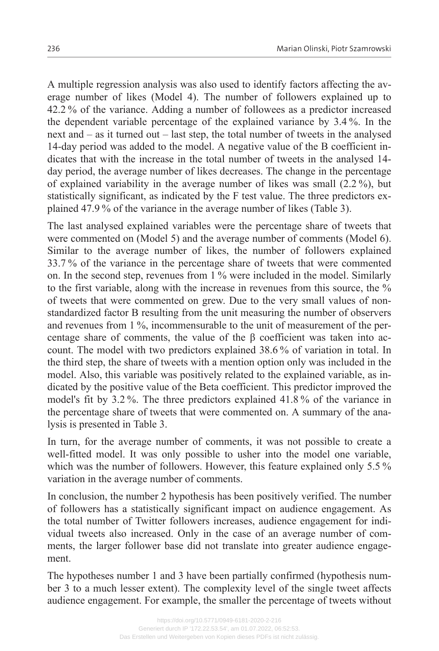A multiple regression analysis was also used to identify factors affecting the av‐ erage number of likes (Model 4). The number of followers explained up to 42.2 % of the variance. Adding a number of followees as a predictor increased the dependent variable percentage of the explained variance by 3.4 %. In the next and – as it turned out – last step, the total number of tweets in the analysed 14-day period was added to the model. A negative value of the B coefficient in‐ dicates that with the increase in the total number of tweets in the analysed 14 day period, the average number of likes decreases. The change in the percentage of explained variability in the average number of likes was small (2.2 %), but statistically significant, as indicated by the F test value. The three predictors ex‐ plained 47.9 % of the variance in the average number of likes (Table 3).

The last analysed explained variables were the percentage share of tweets that were commented on (Model 5) and the average number of comments (Model 6). Similar to the average number of likes, the number of followers explained 33.7 % of the variance in the percentage share of tweets that were commented on. In the second step, revenues from 1 % were included in the model. Similarly to the first variable, along with the increase in revenues from this source, the % of tweets that were commented on grew. Due to the very small values of nonstandardized factor B resulting from the unit measuring the number of observers and revenues from 1 %, incommensurable to the unit of measurement of the percentage share of comments, the value of the  $\beta$  coefficient was taken into account. The model with two predictors explained 38.6 % of variation in total. In the third step, the share of tweets with a mention option only was included in the model. Also, this variable was positively related to the explained variable, as in‐ dicated by the positive value of the Beta coefficient. This predictor improved the model's fit by 3.2 %. The three predictors explained 41.8 % of the variance in the percentage share of tweets that were commented on. A summary of the analysis is presented in Table 3.

In turn, for the average number of comments, it was not possible to create a well-fitted model. It was only possible to usher into the model one variable, which was the number of followers. However, this feature explained only 5.5 % variation in the average number of comments.

In conclusion, the number 2 hypothesis has been positively verified. The number of followers has a statistically significant impact on audience engagement. As the total number of Twitter followers increases, audience engagement for indi‐ vidual tweets also increased. Only in the case of an average number of comments, the larger follower base did not translate into greater audience engagement.

The hypotheses number 1 and 3 have been partially confirmed (hypothesis number 3 to a much lesser extent). The complexity level of the single tweet affects audience engagement. For example, the smaller the percentage of tweets without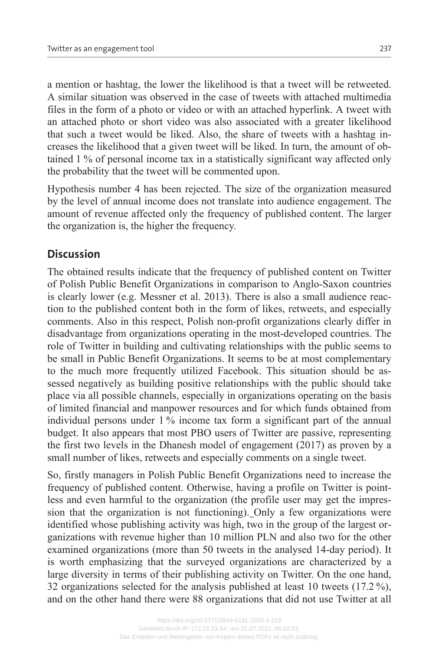a mention or hashtag, the lower the likelihood is that a tweet will be retweeted. A similar situation was observed in the case of tweets with attached multimedia files in the form of a photo or video or with an attached hyperlink. A tweet with an attached photo or short video was also associated with a greater likelihood that such a tweet would be liked. Also, the share of tweets with a hashtag in‐ creases the likelihood that a given tweet will be liked. In turn, the amount of ob‐ tained 1 % of personal income tax in a statistically significant way affected only the probability that the tweet will be commented upon.

Hypothesis number 4 has been rejected. The size of the organization measured by the level of annual income does not translate into audience engagement. The amount of revenue affected only the frequency of published content. The larger the organization is, the higher the frequency.

# **Discussion**

The obtained results indicate that the frequency of published content on Twitter of Polish Public Benefit Organizations in comparison to Anglo-Saxon countries is clearly lower (e.g. Messner et al. 2013). There is also a small audience reaction to the published content both in the form of likes, retweets, and especially comments. Also in this respect, Polish non-profit organizations clearly differ in disadvantage from organizations operating in the most-developed countries. The role of Twitter in building and cultivating relationships with the public seems to be small in Public Benefit Organizations. It seems to be at most complementary to the much more frequently utilized Facebook. This situation should be assessed negatively as building positive relationships with the public should take place via all possible channels, especially in organizations operating on the basis of limited financial and manpower resources and for which funds obtained from individual persons under 1 % income tax form a significant part of the annual budget. It also appears that most PBO users of Twitter are passive, representing the first two levels in the Dhanesh model of engagement (2017) as proven by a small number of likes, retweets and especially comments on a single tweet.

So, firstly managers in Polish Public Benefit Organizations need to increase the frequency of published content. Otherwise, having a profile on Twitter is pointless and even harmful to the organization (the profile user may get the impres‐ sion that the organization is not functioning). Only a few organizations were identified whose publishing activity was high, two in the group of the largest or‐ ganizations with revenue higher than 10 million PLN and also two for the other examined organizations (more than 50 tweets in the analysed 14-day period). It is worth emphasizing that the surveyed organizations are characterized by a large diversity in terms of their publishing activity on Twitter. On the one hand, 32 organizations selected for the analysis published at least 10 tweets (17.2 %), and on the other hand there were 88 organizations that did not use Twitter at all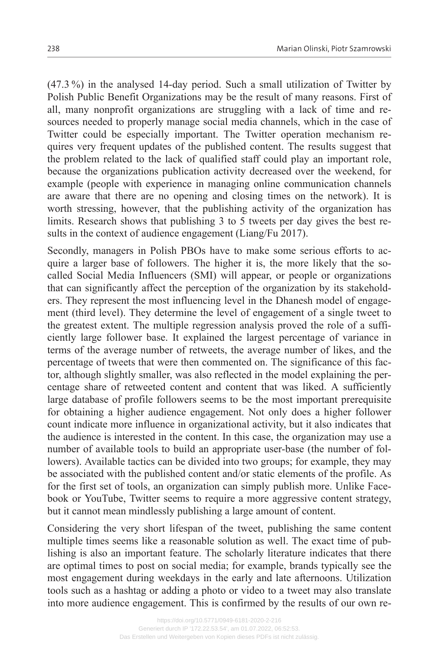(47.3 %) in the analysed 14-day period. Such a small utilization of Twitter by Polish Public Benefit Organizations may be the result of many reasons. First of all, many nonprofit organizations are struggling with a lack of time and re‐ sources needed to properly manage social media channels, which in the case of Twitter could be especially important. The Twitter operation mechanism re‐ quires very frequent updates of the published content. The results suggest that the problem related to the lack of qualified staff could play an important role, because the organizations publication activity decreased over the weekend, for example (people with experience in managing online communication channels are aware that there are no opening and closing times on the network). It is worth stressing, however, that the publishing activity of the organization has limits. Research shows that publishing 3 to 5 tweets per day gives the best results in the context of audience engagement (Liang/Fu 2017).

Secondly, managers in Polish PBOs have to make some serious efforts to acquire a larger base of followers. The higher it is, the more likely that the socalled Social Media Influencers (SMI) will appear, or people or organizations that can significantly affect the perception of the organization by its stakehold‐ ers. They represent the most influencing level in the Dhanesh model of engagement (third level). They determine the level of engagement of a single tweet to the greatest extent. The multiple regression analysis proved the role of a sufficiently large follower base. It explained the largest percentage of variance in terms of the average number of retweets, the average number of likes, and the percentage of tweets that were then commented on. The significance of this factor, although slightly smaller, was also reflected in the model explaining the per‐ centage share of retweeted content and content that was liked. A sufficiently large database of profile followers seems to be the most important prerequisite for obtaining a higher audience engagement. Not only does a higher follower count indicate more influence in organizational activity, but it also indicates that the audience is interested in the content. In this case, the organization may use a number of available tools to build an appropriate user-base (the number of fol‐ lowers). Available tactics can be divided into two groups; for example, they may be associated with the published content and/or static elements of the profile. As for the first set of tools, an organization can simply publish more. Unlike Facebook or YouTube, Twitter seems to require a more aggressive content strategy, but it cannot mean mindlessly publishing a large amount of content.

Considering the very short lifespan of the tweet, publishing the same content multiple times seems like a reasonable solution as well. The exact time of publishing is also an important feature. The scholarly literature indicates that there are optimal times to post on social media; for example, brands typically see the most engagement during weekdays in the early and late afternoons. Utilization tools such as a hashtag or adding a photo or video to a tweet may also translate into more audience engagement. This is confirmed by the results of our own re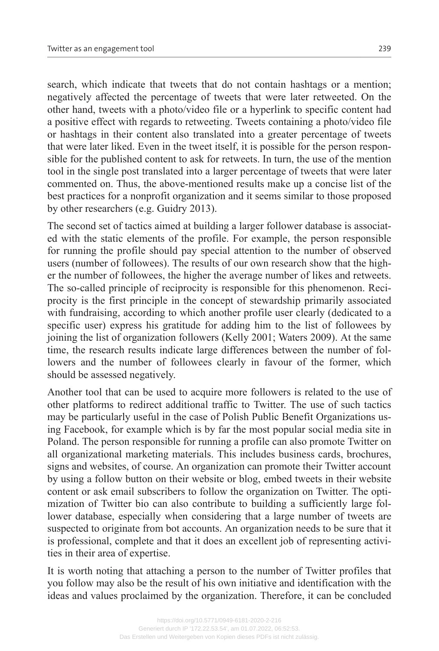search, which indicate that tweets that do not contain hashtags or a mention; negatively affected the percentage of tweets that were later retweeted. On the other hand, tweets with a photo/video file or a hyperlink to specific content had a positive effect with regards to retweeting. Tweets containing a photo/video file or hashtags in their content also translated into a greater percentage of tweets that were later liked. Even in the tweet itself, it is possible for the person respon‐ sible for the published content to ask for retweets. In turn, the use of the mention tool in the single post translated into a larger percentage of tweets that were later commented on. Thus, the above-mentioned results make up a concise list of the best practices for a nonprofit organization and it seems similar to those proposed by other researchers (e.g. Guidry 2013).

The second set of tactics aimed at building a larger follower database is associateed with the static elements of the profile. For example, the person responsible for running the profile should pay special attention to the number of observed users (number of followees). The results of our own research show that the higher the number of followees, the higher the average number of likes and retweets. The so-called principle of reciprocity is responsible for this phenomenon. Reciprocity is the first principle in the concept of stewardship primarily associated with fundraising, according to which another profile user clearly (dedicated to a specific user) express his gratitude for adding him to the list of followees by joining the list of organization followers (Kelly 2001; Waters 2009). At the same time, the research results indicate large differences between the number of followers and the number of followees clearly in favour of the former, which should be assessed negatively.

Another tool that can be used to acquire more followers is related to the use of other platforms to redirect additional traffic to Twitter. The use of such tactics may be particularly useful in the case of Polish Public Benefit Organizations using Facebook, for example which is by far the most popular social media site in Poland. The person responsible for running a profile can also promote Twitter on all organizational marketing materials. This includes business cards, brochures, signs and websites, of course. An organization can promote their Twitter account by using a follow button on their website or blog, embed tweets in their website content or ask email subscribers to follow the organization on Twitter. The optimization of Twitter bio can also contribute to building a sufficiently large follower database, especially when considering that a large number of tweets are suspected to originate from bot accounts. An organization needs to be sure that it is professional, complete and that it does an excellent job of representing activities in their area of expertise.

It is worth noting that attaching a person to the number of Twitter profiles that you follow may also be the result of his own initiative and identification with the ideas and values proclaimed by the organization. Therefore, it can be concluded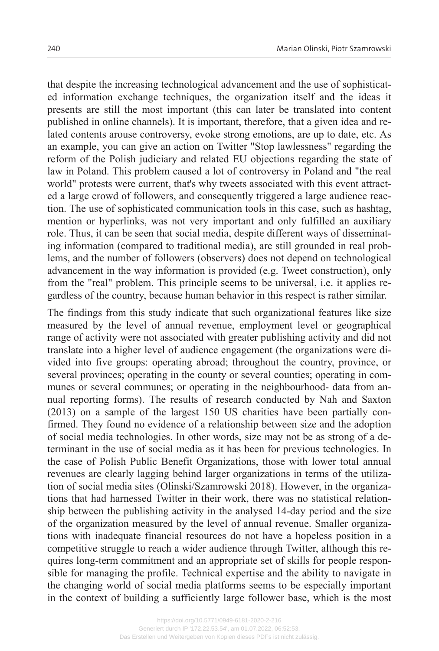that despite the increasing technological advancement and the use of sophisticated information exchange techniques, the organization itself and the ideas it presents are still the most important (this can later be translated into content published in online channels). It is important, therefore, that a given idea and re‐ lated contents arouse controversy, evoke strong emotions, are up to date, etc. As an example, you can give an action on Twitter "Stop lawlessness" regarding the reform of the Polish judiciary and related EU objections regarding the state of law in Poland. This problem caused a lot of controversy in Poland and "the real world" protests were current, that's why tweets associated with this event attracted a large crowd of followers, and consequently triggered a large audience reac‐ tion. The use of sophisticated communication tools in this case, such as hashtag, mention or hyperlinks, was not very important and only fulfilled an auxiliary role. Thus, it can be seen that social media, despite different ways of disseminating information (compared to traditional media), are still grounded in real problems, and the number of followers (observers) does not depend on technological advancement in the way information is provided (e.g. Tweet construction), only from the "real" problem. This principle seems to be universal, *i.e.* it applies regardless of the country, because human behavior in this respect is rather similar.

The findings from this study indicate that such organizational features like size measured by the level of annual revenue, employment level or geographical range of activity were not associated with greater publishing activity and did not translate into a higher level of audience engagement (the organizations were di‐ vided into five groups: operating abroad; throughout the country, province, or several provinces; operating in the county or several counties; operating in communes or several communes; or operating in the neighbourhood- data from annual reporting forms). The results of research conducted by Nah and Saxton  $(2013)$  on a sample of the largest 150 US charities have been partially confirmed. They found no evidence of a relationship between size and the adoption of social media technologies. In other words, size may not be as strong of a de‐ terminant in the use of social media as it has been for previous technologies. In the case of Polish Public Benefit Organizations, those with lower total annual revenues are clearly lagging behind larger organizations in terms of the utilization of social media sites (Olinski/Szamrowski 2018). However, in the organiza‐ tions that had harnessed Twitter in their work, there was no statistical relation‐ ship between the publishing activity in the analysed 14-day period and the size of the organization measured by the level of annual revenue. Smaller organizations with inadequate financial resources do not have a hopeless position in a competitive struggle to reach a wider audience through Twitter, although this requires long-term commitment and an appropriate set of skills for people responsible for managing the profile. Technical expertise and the ability to navigate in the changing world of social media platforms seems to be especially important in the context of building a sufficiently large follower base, which is the most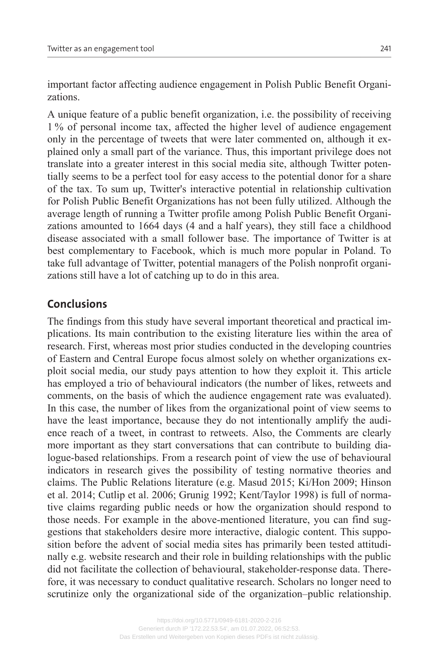important factor affecting audience engagement in Polish Public Benefit Organi zations.

A unique feature of a public benefit organization, i.e. the possibility of receiving 1 % of personal income tax, affected the higher level of audience engagement only in the percentage of tweets that were later commented on, although it explained only a small part of the variance. Thus, this important privilege does not translate into a greater interest in this social media site, although Twitter poten‐ tially seems to be a perfect tool for easy access to the potential donor for a share of the tax. To sum up, Twitter's interactive potential in relationship cultivation for Polish Public Benefit Organizations has not been fully utilized. Although the average length of running a Twitter profile among Polish Public Benefit Organi‐ zations amounted to 1664 days (4 and a half years), they still face a childhood disease associated with a small follower base. The importance of Twitter is at best complementary to Facebook, which is much more popular in Poland. To take full advantage of Twitter, potential managers of the Polish nonprofit organi‐ zations still have a lot of catching up to do in this area.

# **Conclusions**

The findings from this study have several important theoretical and practical im‐ plications. Its main contribution to the existing literature lies within the area of research. First, whereas most prior studies conducted in the developing countries of Eastern and Central Europe focus almost solely on whether organizations ex‐ ploit social media, our study pays attention to how they exploit it. This article has employed a trio of behavioural indicators (the number of likes, retweets and comments, on the basis of which the audience engagement rate was evaluated). In this case, the number of likes from the organizational point of view seems to have the least importance, because they do not intentionally amplify the audience reach of a tweet, in contrast to retweets. Also, the Comments are clearly more important as they start conversations that can contribute to building dialogue-based relationships. From a research point of view the use of behavioural indicators in research gives the possibility of testing normative theories and claims. The Public Relations literature (e.g. Masud 2015; Ki/Hon 2009; Hinson et al. 2014; Cutlip et al. 2006; Grunig 1992; Kent/Taylor 1998) is full of norma‐ tive claims regarding public needs or how the organization should respond to those needs. For example in the above-mentioned literature, you can find suggestions that stakeholders desire more interactive, dialogic content. This supposition before the advent of social media sites has primarily been tested attitudinally e.g. website research and their role in building relationships with the public did not facilitate the collection of behavioural, stakeholder-response data. There‐ fore, it was necessary to conduct qualitative research. Scholars no longer need to scrutinize only the organizational side of the organization–public relationship.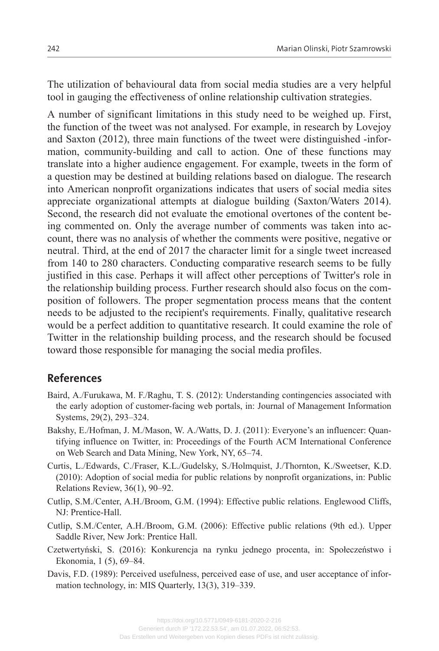The utilization of behavioural data from social media studies are a very helpful tool in gauging the effectiveness of online relationship cultivation strategies.

A number of significant limitations in this study need to be weighed up. First, the function of the tweet was not analysed. For example, in research by Lovejoy and Saxton (2012), three main functions of the tweet were distinguished -infor‐ mation, community-building and call to action. One of these functions may translate into a higher audience engagement. For example, tweets in the form of a question may be destined at building relations based on dialogue. The research into American nonprofit organizations indicates that users of social media sites appreciate organizational attempts at dialogue building (Saxton/Waters 2014). Second, the research did not evaluate the emotional overtones of the content being commented on. Only the average number of comments was taken into account, there was no analysis of whether the comments were positive, negative or neutral. Third, at the end of 2017 the character limit for a single tweet increased from 140 to 280 characters. Conducting comparative research seems to be fully justified in this case. Perhaps it will affect other perceptions of Twitter's role in the relationship building process. Further research should also focus on the composition of followers. The proper segmentation process means that the content needs to be adjusted to the recipient's requirements. Finally, qualitative research would be a perfect addition to quantitative research. It could examine the role of Twitter in the relationship building process, and the research should be focused toward those responsible for managing the social media profiles.

## **References**

- Baird, A./Furukawa, M. F./Raghu, T. S. (2012): Understanding contingencies associated with the early adoption of customer-facing web portals, in: Journal of Management Information Systems, 29(2), 293–324.
- Bakshy, E./Hofman, J. M./Mason, W. A./Watts, D. J. (2011): Everyone's an influencer: Quan‐ tifying influence on Twitter, in: Proceedings of the Fourth ACM International Conference on Web Search and Data Mining, New York, NY, 65–74.
- Curtis, L./Edwards, C./Fraser, K.L./Gudelsky, S./Holmquist, J./Thornton, K./Sweetser, K.D. (2010): Adoption of social media for public relations by nonprofit organizations, in: Public Relations Review, 36(1), 90–92.
- Cutlip, S.M./Center, A.H./Broom, G.M. (1994): Effective public relations. Englewood Cliffs, NJ: Prentice-Hall.
- Cutlip, S.M./Center, A.H./Broom, G.M. (2006): Effective public relations (9th ed.). Upper Saddle River, New Jork: Prentice Hall.
- Czetwertyński, S. (2016): Konkurencja na rynku jednego procenta, in: Społeczeństwo i Ekonomia, 1 (5), 69–84.
- Davis, F.D. (1989): Perceived usefulness, perceived ease of use, and user acceptance of information technology, in: MIS Quarterly, 13(3), 319–339.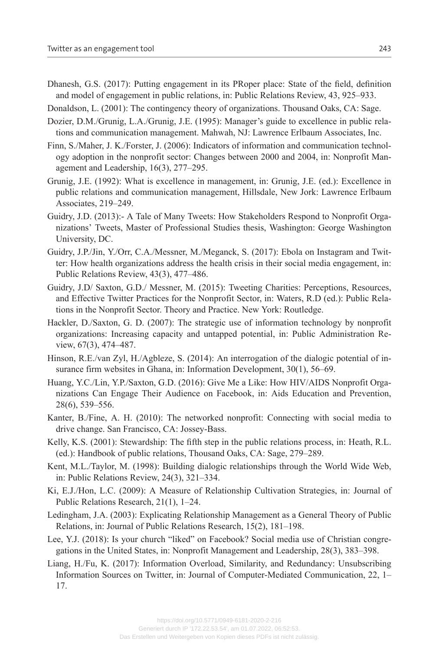- Dhanesh, G.S. (2017): Putting engagement in its PRoper place: State of the field, definition and model of engagement in public relations, in: Public Relations Review, 43, 925–933.
- Donaldson, L. (2001): The contingency theory of organizations. Thousand Oaks, CA: Sage.
- Dozier, D.M./Grunig, L.A./Grunig, J.E. (1995): Manager's guide to excellence in public relations and communication management. Mahwah, NJ: Lawrence Erlbaum Associates, Inc.
- Finn, S./Maher, J. K./Forster, J. (2006): Indicators of information and communication technol‐ ogy adoption in the nonprofit sector: Changes between 2000 and 2004, in: Nonprofit Management and Leadership, 16(3), 277–295.
- Grunig, J.E. (1992): What is excellence in management, in: Grunig, J.E. (ed.): Excellence in public relations and communication management, Hillsdale, New Jork: Lawrence Erlbaum Associates, 219–249.
- Guidry, J.D. (2013):- A Tale of Many Tweets: How Stakeholders Respond to Nonprofit Organizations' Tweets, Master of Professional Studies thesis, Washington: George Washington University, DC.
- Guidry, J.P./Jin, Y./Orr, C.A./Messner, M./Meganck, S. (2017): Ebola on Instagram and Twit‐ ter: How health organizations address the health crisis in their social media engagement, in: Public Relations Review, 43(3), 477–486.
- Guidry, J.D/ Saxton, G.D./ Messner, M. (2015): Tweeting Charities: Perceptions, Resources, and Effective Twitter Practices for the Nonprofit Sector, in: Waters, R.D (ed.): Public Relations in the Nonprofit Sector. Theory and Practice. New York: Routledge.
- Hackler, D./Saxton, G. D. (2007): The strategic use of information technology by nonprofit organizations: Increasing capacity and untapped potential, in: Public Administration Re‐ view, 67(3), 474–487.
- Hinson, R.E./van Zyl, H./Agbleze, S. (2014): An interrogation of the dialogic potential of insurance firm websites in Ghana, in: Information Development, 30(1), 56–69.
- Huang, Y.C./Lin, Y.P./Saxton, G.D. (2016): Give Me a Like: How HIV/AIDS Nonprofit Organizations Can Engage Their Audience on Facebook, in: Aids Education and Prevention, 28(6), 539–556.
- Kanter, B./Fine, A. H. (2010): The networked nonprofit: Connecting with social media to drive change. San Francisco, CA: Jossey-Bass.
- Kelly, K.S. (2001): Stewardship: The fifth step in the public relations process, in: Heath, R.L. (ed.): Handbook of public relations, Thousand Oaks, CA: Sage, 279–289.
- Kent, M.L./Taylor, M. (1998): Building dialogic relationships through the World Wide Web, in: Public Relations Review, 24(3), 321–334.
- Ki, E.J./Hon, L.C. (2009): A Measure of Relationship Cultivation Strategies, in: Journal of Public Relations Research, 21(1), 1–24.
- Ledingham, J.A. (2003): Explicating Relationship Management as a General Theory of Public Relations, in: Journal of Public Relations Research, 15(2), 181–198.
- Lee, Y.J. (2018): Is your church "liked" on Facebook? Social media use of Christian congregations in the United States, in: Nonprofit Management and Leadership, 28(3), 383–398.
- Liang, H./Fu, K. (2017): Information Overload, Similarity, and Redundancy: Unsubscribing Information Sources on Twitter, in: Journal of Computer-Mediated Communication, 22, 1– 17.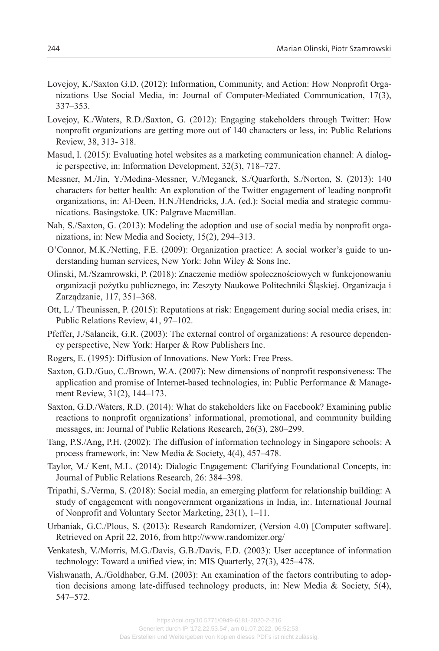- Lovejoy, K./Saxton G.D. (2012): Information, Community, and Action: How Nonprofit Organizations Use Social Media, in: Journal of Computer-Mediated Communication, 17(3), 337–353.
- Lovejoy, K./Waters, R.D./Saxton, G. (2012): Engaging stakeholders through Twitter: How nonprofit organizations are getting more out of 140 characters or less, in: Public Relations Review, 38, 313- 318.
- Masud, I. (2015): Evaluating hotel websites as a marketing communication channel: A dialogic perspective, in: Information Development, 32(3), 718–727.
- Messner, M./Jin, Y./Medina-Messner, V./Meganck, S./Quarforth, S./Norton, S. (2013): 140 characters for better health: An exploration of the Twitter engagement of leading nonprofit organizations, in: Al-Deen, H.N./Hendricks, J.A. (ed.): Social media and strategic communications. Basingstoke. UK: Palgrave Macmillan.
- Nah, S./Saxton, G. (2013): Modeling the adoption and use of social media by nonprofit organizations, in: New Media and Society, 15(2), 294–313.
- O'Connor, M.K./Netting, F.E. (2009): Organization practice: A social worker's guide to un‐ derstanding human services, New York: John Wiley & Sons Inc.
- Olinski, M./Szamrowski, P. (2018): Znaczenie mediów społecznościowych w funkcjonowaniu organizacji pożytku publicznego, in: Zeszyty Naukowe Politechniki Śląskiej. Organizacja i Zarządzanie, 117, 351–368.
- Ott, L./ Theunissen, P. (2015): Reputations at risk: Engagement during social media crises, in: Public Relations Review, 41, 97–102.
- Pfeffer, J./Salancik, G.R. (2003): The external control of organizations: A resource dependen‐ cy perspective, New York: Harper & Row Publishers Inc.
- Rogers, E. (1995): Diffusion of Innovations. New York: Free Press.
- Saxton, G.D./Guo, C./Brown, W.A. (2007): New dimensions of nonprofit responsiveness: The application and promise of Internet-based technologies, in: Public Performance & Management Review, 31(2), 144–173.
- Saxton, G.D./Waters, R.D. (2014): What do stakeholders like on Facebook? Examining public reactions to nonprofit organizations' informational, promotional, and community building messages, in: Journal of Public Relations Research, 26(3), 280–299.
- Tang, P.S./Ang, P.H. (2002): The diffusion of information technology in Singapore schools: A process framework, in: New Media & Society, 4(4), 457–478.
- Taylor, M./ Kent, M.L. (2014): Dialogic Engagement: Clarifying Foundational Concepts, in: Journal of Public Relations Research, 26: 384–398.
- Tripathi, S./Verma, S. (2018): Social media, an emerging platform for relationship building: A study of engagement with nongovernment organizations in India, in:. International Journal of Nonprofit and Voluntary Sector Marketing, 23(1), 1–11.
- Urbaniak, G.C./Plous, S. (2013): Research Randomizer, (Version 4.0) [Computer software]. Retrieved on April 22, 2016, from http://www.randomizer.org/
- Venkatesh, V./Morris, M.G./Davis, G.B./Davis, F.D. (2003): User acceptance of information technology: Toward a unified view, in: MIS Quarterly, 27(3), 425–478.
- Vishwanath, A./Goldhaber, G.M. (2003): An examination of the factors contributing to adop‐ tion decisions among late-diffused technology products, in: New Media & Society,  $5(4)$ , 547–572.